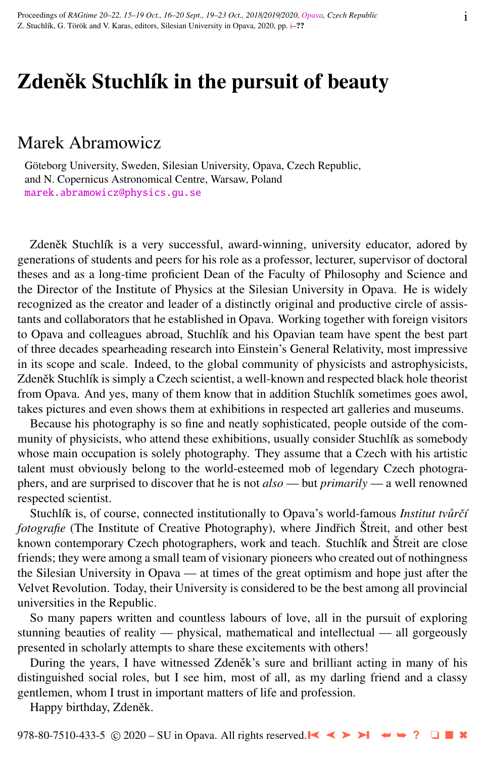# Zdeněk Stuchlík in the pursuit of beauty

## Marek Abramowicz

Göteborg University, Sweden, Silesian University, Opava, Czech Republic, and N. Copernicus Astronomical Centre, Warsaw, Poland [marek.abramowicz@physics.gu.se](http://www.physics.cz/ marek.abramowicz@physics.gu.se)

Zdeněk Stuchlík is a very successful, award-winning, university educator, adored by generations of students and peers for his role as a professor, lecturer, supervisor of doctoral theses and as a long-time proficient Dean of the Faculty of Philosophy and Science and the Director of the Institute of Physics at the Silesian University in Opava. He is widely recognized as the creator and leader of a distinctly original and productive circle of assistants and collaborators that he established in Opava. Working together with foreign visitors to Opava and colleagues abroad, Stuchlík and his Opavian team have spent the best part of three decades spearheading research into Einstein's General Relativity, most impressive in its scope and scale. Indeed, to the global community of physicists and astrophysicists, Zdeněk Stuchlík is simply a Czech scientist, a well-known and respected black hole theorist from Opava. And yes, many of them know that in addition Stuchlík sometimes goes awol, takes pictures and even shows them at exhibitions in respected art galleries and museums.

Because his photography is so fine and neatly sophisticated, people outside of the community of physicists, who attend these exhibitions, usually consider Stuchlík as somebody whose main occupation is solely photography. They assume that a Czech with his artistic talent must obviously belong to the world-esteemed mob of legendary Czech photographers, and are surprised to discover that he is not *also* — but *primarily* — a well renowned respected scientist.

Stuchlík is, of course, connected institutionally to Opava's world-famous *Institut tvůrčí fotografie* (The Institute of Creative Photography), where Jindřich Štreit, and other best known contemporary Czech photographers, work and teach. Stuchlík and Štreit are close friends; they were among a small team of visionary pioneers who created out of nothingness the Silesian University in Opava — at times of the great optimism and hope just after the Velvet Revolution. Today, their University is considered to be the best among all provincial universities in the Republic.

So many papers written and countless labours of love, all in the pursuit of exploring stunning beauties of reality — physical, mathematical and intellectual — all gorgeously presented in scholarly attempts to share these excitements with others!

During the years, I have witnessed Zdeněk's sure and brilliant acting in many of his distinguished social roles, but I see him, most of all, as my darling friend and a classy gentlemen, whom I trust in important matters of life and profession.

Happy birthday, Zdeněk.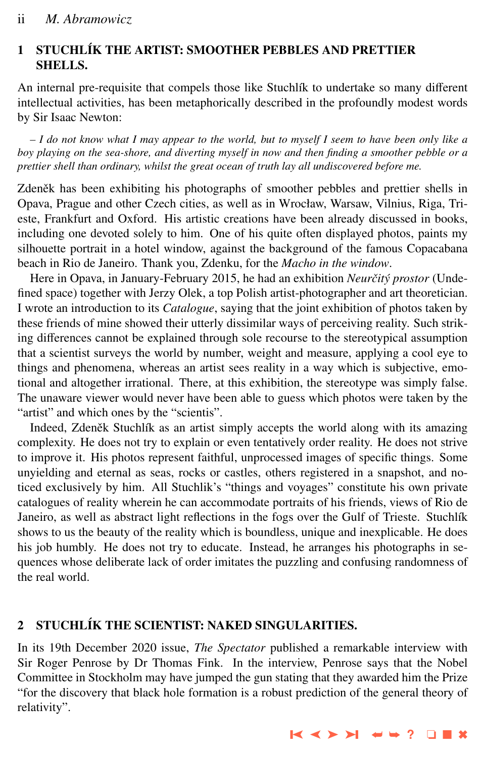#### 1 STUCHL´IK THE ARTIST: SMOOTHER PEBBLES AND PRETTIER SHELLS.

An internal pre-requisite that compels those like Stuchlík to undertake so many different intellectual activities, has been metaphorically described in the profoundly modest words by Sir Isaac Newton:

*– I do not know what I may appear to the world, but to myself I seem to have been only like a boy playing on the sea-shore, and diverting myself in now and then finding a smoother pebble or a prettier shell than ordinary, whilst the great ocean of truth lay all undiscovered before me.*

Zdeněk has been exhibiting his photographs of smoother pebbles and prettier shells in Opava, Prague and other Czech cities, as well as in Wrocław, Warsaw, Vilnius, Riga, Trieste, Frankfurt and Oxford. His artistic creations have been already discussed in books, including one devoted solely to him. One of his quite often displayed photos, paints my silhouette portrait in a hotel window, against the background of the famous Copacabana beach in Rio de Janeiro. Thank you, Zdenku, for the *Macho in the window*.

Here in Opava, in January-February 2015, he had an exhibition *Neurčitý prostor* (Undefined space) together with Jerzy Olek, a top Polish artist-photographer and art theoretician. I wrote an introduction to its *Catalogue*, saying that the joint exhibition of photos taken by these friends of mine showed their utterly dissimilar ways of perceiving reality. Such striking differences cannot be explained through sole recourse to the stereotypical assumption that a scientist surveys the world by number, weight and measure, applying a cool eye to things and phenomena, whereas an artist sees reality in a way which is subjective, emotional and altogether irrational. There, at this exhibition, the stereotype was simply false. The unaware viewer would never have been able to guess which photos were taken by the "artist" and which ones by the "scientis".

Indeed, Zdeněk Stuchlík as an artist simply accepts the world along with its amazing complexity. He does not try to explain or even tentatively order reality. He does not strive to improve it. His photos represent faithful, unprocessed images of specific things. Some unyielding and eternal as seas, rocks or castles, others registered in a snapshot, and noticed exclusively by him. All Stuchlik's "things and voyages" constitute his own private catalogues of reality wherein he can accommodate portraits of his friends, views of Rio de Janeiro, as well as abstract light reflections in the fogs over the Gulf of Trieste. Stuchlík shows to us the beauty of the reality which is boundless, unique and inexplicable. He does his job humbly. He does not try to educate. Instead, he arranges his photographs in sequences whose deliberate lack of order imitates the puzzling and confusing randomness of the real world.

### 2 STUCHL´IK THE SCIENTIST: NAKED SINGULARITIES.

In its 19th December 2020 issue, *The Spectator* published a remarkable interview with Sir Roger Penrose by Dr Thomas Fink. In the interview, Penrose says that the Nobel Committee in Stockholm may have jumped the gun stating that they awarded him the Prize "for the discovery that black hole formation is a robust prediction of the general theory of relativity".

➤❙ ➤➤ ➤❙ ➥➥ **?** ❏ ■ ✖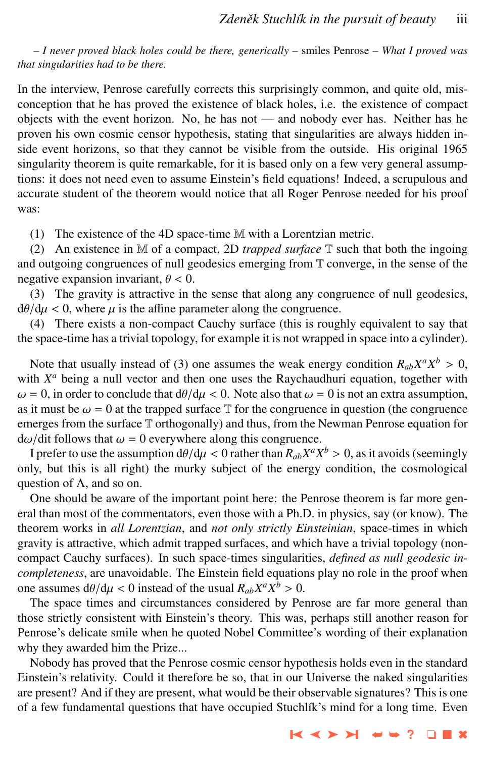*– I never proved black holes could be there, generically –* smiles Penrose *– What I proved was that singularities had to be there.*

In the interview, Penrose carefully corrects this surprisingly common, and quite old, misconception that he has proved the existence of black holes, i.e. the existence of compact objects with the event horizon. No, he has not — and nobody ever has. Neither has he proven his own cosmic censor hypothesis, stating that singularities are always hidden inside event horizons, so that they cannot be visible from the outside. His original 1965 singularity theorem is quite remarkable, for it is based only on a few very general assumptions: it does not need even to assume Einstein's field equations! Indeed, a scrupulous and accurate student of the theorem would notice that all Roger Penrose needed for his proof was:

(1) The existence of the 4D space-time M with a Lorentzian metric.

(2) An existence in M of a compact, 2D *trapped surface* T such that both the ingoing and outgoing congruences of null geodesics emerging from T converge, in the sense of the negative expansion invariant,  $\theta$  < 0.

(3) The gravity is attractive in the sense that along any congruence of null geodesics,  $d\theta/d\mu < 0$ , where  $\mu$  is the affine parameter along the congruence.

(4) There exists a non-compact Cauchy surface (this is roughly equivalent to say that the space-time has a trivial topology, for example it is not wrapped in space into a cylinder).

Note that usually instead of (3) one assumes the weak energy condition  $R_{ab}X^aX^b > 0$ , the  $X^a$  being a null vector and then one uses the Raychaudhuri equation, together with with  $X^a$  being a null vector and then one uses the Raychaudhuri equation, together with  $\omega = 0$ , in order to conclude that  $d\theta/d\mu < 0$ . Note also that  $\omega = 0$  is not an extra assumption, as it must be  $\omega = 0$  at the trapped surface  $\mathbb T$  for the congruence in question (the congruence emerges from the surface T orthogonally) and thus, from the Newman Penrose equation for  $d\omega/d$  it follows that  $\omega = 0$  everywhere along this congruence.

I prefer to use the assumption  $d\theta/d\mu < 0$  rather than  $R_{ab}X^aX^b > 0$ , as it avoids (seemingly but this is all right) the murky subject of the energy condition, the cosmological only, but this is all right) the murky subject of the energy condition, the cosmological question of  $\Lambda$ , and so on.

One should be aware of the important point here: the Penrose theorem is far more general than most of the commentators, even those with a Ph.D. in physics, say (or know). The theorem works in *all Lorentzian*, and *not only strictly Einsteinian*, space-times in which gravity is attractive, which admit trapped surfaces, and which have a trivial topology (noncompact Cauchy surfaces). In such space-times singularities, *defined as null geodesic incompleteness*, are unavoidable. The Einstein field equations play no role in the proof when one assumes  $dθ/dμ < 0$  instead of the usual  $R_{ab}X^a X^b > 0$ .<br>The space times and circumstances considered by Pe

The space times and circumstances considered by Penrose are far more general than those strictly consistent with Einstein's theory. This was, perhaps still another reason for Penrose's delicate smile when he quoted Nobel Committee's wording of their explanation why they awarded him the Prize...

Nobody has proved that the Penrose cosmic censor hypothesis holds even in the standard Einstein's relativity. Could it therefore be so, that in our Universe the naked singularities are present? And if they are present, what would be their observable signatures? This is one of a few fundamental questions that have occupied Stuchlík's mind for a long time. Even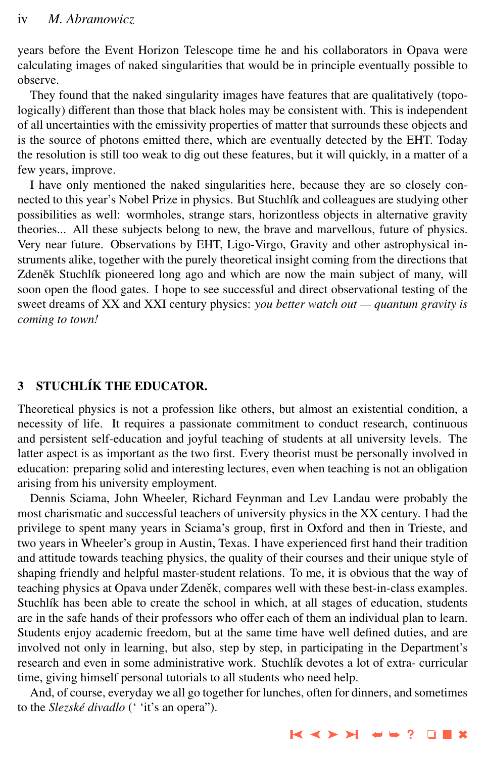years before the Event Horizon Telescope time he and his collaborators in Opava were calculating images of naked singularities that would be in principle eventually possible to observe.

They found that the naked singularity images have features that are qualitatively (topologically) different than those that black holes may be consistent with. This is independent of all uncertainties with the emissivity properties of matter that surrounds these objects and is the source of photons emitted there, which are eventually detected by the EHT. Today the resolution is still too weak to dig out these features, but it will quickly, in a matter of a few years, improve.

I have only mentioned the naked singularities here, because they are so closely connected to this year's Nobel Prize in physics. But Stuchlík and colleagues are studying other possibilities as well: wormholes, strange stars, horizontless objects in alternative gravity theories... All these subjects belong to new, the brave and marvellous, future of physics. Very near future. Observations by EHT, Ligo-Virgo, Gravity and other astrophysical instruments alike, together with the purely theoretical insight coming from the directions that Zdeněk Stuchlík pioneered long ago and which are now the main subject of many, will soon open the flood gates. I hope to see successful and direct observational testing of the sweet dreams of XX and XXI century physics: *you better watch out — quantum gravity is coming to town!*

#### **3 STUCHLÍK THE EDUCATOR.**

Theoretical physics is not a profession like others, but almost an existential condition, a necessity of life. It requires a passionate commitment to conduct research, continuous and persistent self-education and joyful teaching of students at all university levels. The latter aspect is as important as the two first. Every theorist must be personally involved in education: preparing solid and interesting lectures, even when teaching is not an obligation arising from his university employment.

Dennis Sciama, John Wheeler, Richard Feynman and Lev Landau were probably the most charismatic and successful teachers of university physics in the XX century. I had the privilege to spent many years in Sciama's group, first in Oxford and then in Trieste, and two years in Wheeler's group in Austin, Texas. I have experienced first hand their tradition and attitude towards teaching physics, the quality of their courses and their unique style of shaping friendly and helpful master-student relations. To me, it is obvious that the way of teaching physics at Opava under Zdeněk, compares well with these best-in-class examples. Stuchlík has been able to create the school in which, at all stages of education, students are in the safe hands of their professors who offer each of them an individual plan to learn. Students enjoy academic freedom, but at the same time have well defined duties, and are involved not only in learning, but also, step by step, in participating in the Department's research and even in some administrative work. Stuchlík devotes a lot of extra- curricular time, giving himself personal tutorials to all students who need help.

And, of course, everyday we all go together for lunches, often for dinners, and sometimes to the *Slezské divadlo* (' 'it's an opera'').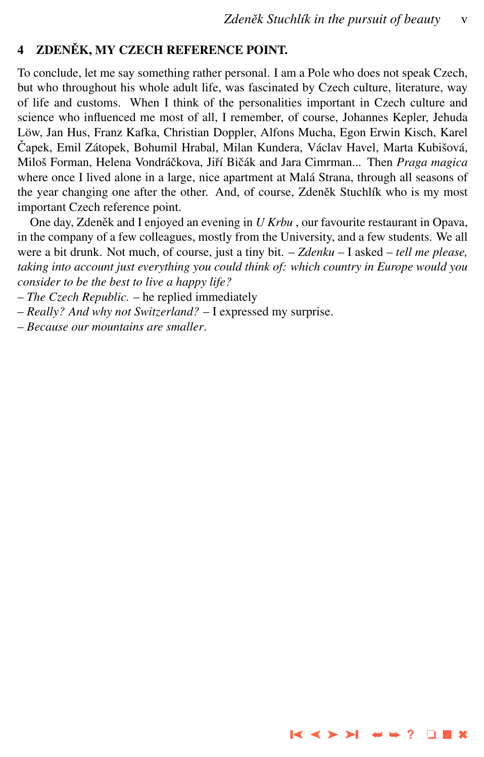➤❙ ➤➤ ➤❙ ➥➥ **?** ❏ ■ ✖

### 4 ZDENĚK, MY CZECH REFERENCE POINT.

To conclude, let me say something rather personal. I am a Pole who does not speak Czech, but who throughout his whole adult life, was fascinated by Czech culture, literature, way of life and customs. When I think of the personalities important in Czech culture and science who influenced me most of all, I remember, of course, Johannes Kepler, Jehuda Löw, Jan Hus, Franz Kafka, Christian Doppler, Alfons Mucha, Egon Erwin Kisch, Karel Čapek, Emil Zátopek, Bohumil Hrabal, Milan Kundera, Václav Havel, Marta Kubišová, Miloš Forman, Helena Vondráčkova, Jiří Bičák and Jara Cimrman... Then Praga magica where once I lived alone in a large, nice apartment at Malá Strana, through all seasons of the year changing one after the other. And, of course, Zdeněk Stuchlík who is my most important Czech reference point.

One day, Zdeněk and I enjoyed an evening in *U Krbu*, our favourite restaurant in Opava, in the company of a few colleagues, mostly from the University, and a few students. We all were a bit drunk. Not much, of course, just a tiny bit. – *Zdenku* – I asked – *tell me please, taking into account just everything you could think of: which country in Europe would you consider to be the best to live a happy life?*

– *The Czech Republic.* – he replied immediately

– *Really? And why not Switzerland?* – I expressed my surprise.

– *Because our mountains are smaller*.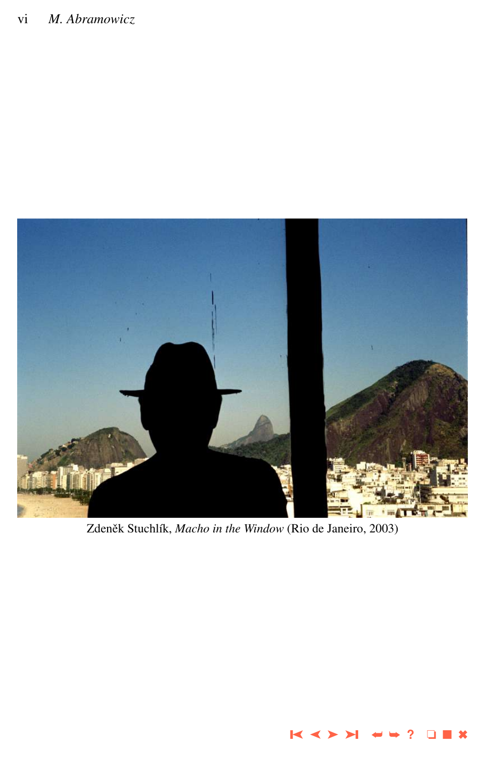

Zdeněk Stuchlík, Macho in the Window (Rio de Janeiro, 2003)

 $\leq$